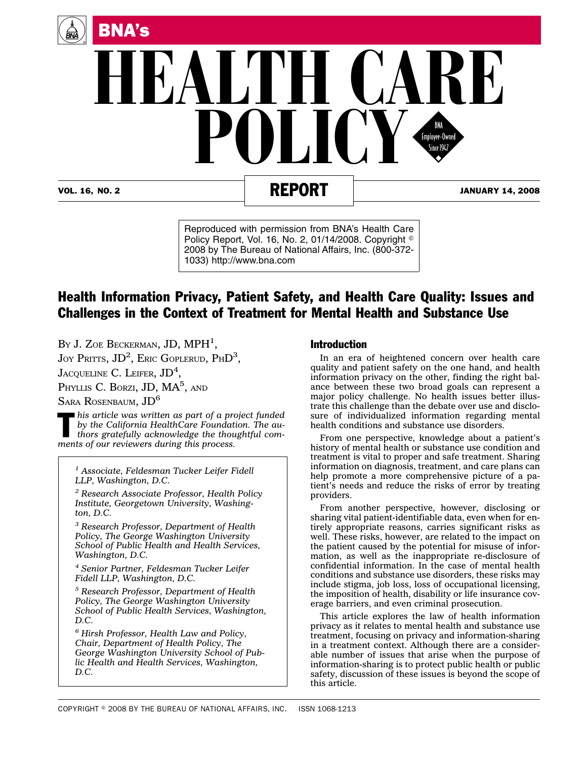

VOL. 16, NO. 2 **REPORT** 34, 2008

Reproduced with permission from BNA's Health Care Policy Report, Vol. 16, No. 2, 01/14/2008. Copyright 2008 by The Bureau of National Affairs, Inc. (800-372- 1033) http://www.bna.com

## Health Information Privacy, Patient Safety, and Health Care Quality: Issues and Challenges in the Context of Treatment for Mental Health and Substance Use

By J. Zoe Beckerman, JD,  $MPH^1$ ,

Joy Pritts, JD<sup>2</sup>, Eric Goplerud, PhD<sup>3</sup>,

Jacqueline C. Leifer,  $\mathrm{JD}^4$ ,

Phyllis C. Borzi, JD, MA<sup>5</sup>, and

SARA ROSENBAUM, JD<sup>6</sup>

This article was written as part of a project funded by the California HealthCare Foundation. The authors gratefully acknowledge the thoughtful com*by the California HealthCare Foundation. The auments of our reviewers during this process.*

*<sup>1</sup> Associate, Feldesman Tucker Leifer Fidell LLP, Washington, D.C.*

*<sup>2</sup> Research Associate Professor, Health Policy Institute, Georgetown University, Washington, D.C.*

*<sup>3</sup> Research Professor, Department of Health Policy, The George Washington University School of Public Health and Health Services, Washington, D.C.*

*<sup>4</sup> Senior Partner, Feldesman Tucker Leifer Fidell LLP, Washington, D.C.*

*<sup>5</sup> Research Professor, Department of Health Policy, The George Washington University School of Public Health Services, Washington, D.C.*

*<sup>6</sup> Hirsh Professor, Health Law and Policy, Chair, Department of Health Policy, The George Washington University School of Public Health and Health Services, Washington, D.C.*

## Introduction

In an era of heightened concern over health care quality and patient safety on the one hand, and health information privacy on the other, finding the right balance between these two broad goals can represent a major policy challenge. No health issues better illustrate this challenge than the debate over use and disclosure of individualized information regarding mental health conditions and substance use disorders.

From one perspective, knowledge about a patient's history of mental health or substance use condition and treatment is vital to proper and safe treatment. Sharing information on diagnosis, treatment, and care plans can help promote a more comprehensive picture of a patient's needs and reduce the risks of error by treating providers.

From another perspective, however, disclosing or sharing vital patient-identifiable data, even when for entirely appropriate reasons, carries significant risks as well. These risks, however, are related to the impact on the patient caused by the potential for misuse of information, as well as the inappropriate re-disclosure of confidential information. In the case of mental health conditions and substance use disorders, these risks may include stigma, job loss, loss of occupational licensing, the imposition of health, disability or life insurance coverage barriers, and even criminal prosecution.

This article explores the law of health information privacy as it relates to mental health and substance use treatment, focusing on privacy and information-sharing in a treatment context. Although there are a considerable number of issues that arise when the purpose of information-sharing is to protect public health or public safety, discussion of these issues is beyond the scope of this article.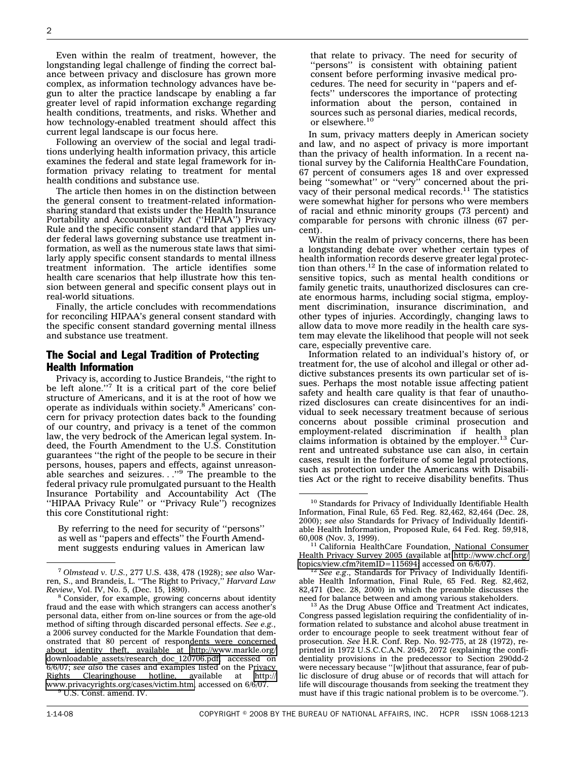Even within the realm of treatment, however, the longstanding legal challenge of finding the correct balance between privacy and disclosure has grown more complex, as information technology advances have begun to alter the practice landscape by enabling a far greater level of rapid information exchange regarding health conditions, treatments, and risks. Whether and how technology-enabled treatment should affect this current legal landscape is our focus here.

Following an overview of the social and legal traditions underlying health information privacy, this article examines the federal and state legal framework for information privacy relating to treatment for mental health conditions and substance use.

The article then homes in on the distinction between the general consent to treatment-related informationsharing standard that exists under the Health Insurance Portability and Accountability Act (''HIPAA'') Privacy Rule and the specific consent standard that applies under federal laws governing substance use treatment information, as well as the numerous state laws that similarly apply specific consent standards to mental illness treatment information. The article identifies some health care scenarios that help illustrate how this tension between general and specific consent plays out in real-world situations.

Finally, the article concludes with recommendations for reconciling HIPAA's general consent standard with the specific consent standard governing mental illness and substance use treatment.

## The Social and Legal Tradition of Protecting Health Information

Privacy is, according to Justice Brandeis, ''the right to be left alone."<sup>7</sup> It is a critical part of the core belief structure of Americans, and it is at the root of how we operate as individuals within society.8 Americans' concern for privacy protection dates back to the founding of our country, and privacy is a tenet of the common law, the very bedrock of the American legal system. Indeed, the Fourth Amendment to the U.S. Constitution guarantees ''the right of the people to be secure in their persons, houses, papers and effects, against unreasonable searches and seizures. . . "<sup>9</sup> The preamble to the federal privacy rule promulgated pursuant to the Health Insurance Portability and Accountability Act (The ''HIPAA Privacy Rule'' or ''Privacy Rule'') recognizes this core Constitutional right:

By referring to the need for security of ''persons'' as well as ''papers and effects'' the Fourth Amendment suggests enduring values in American law

that relate to privacy. The need for security of ''persons'' is consistent with obtaining patient consent before performing invasive medical procedures. The need for security in ''papers and effects'' underscores the importance of protecting information about the person, contained in sources such as personal diaries, medical records, or elsewhere.<sup>10</sup>

In sum, privacy matters deeply in American society and law, and no aspect of privacy is more important than the privacy of health information. In a recent national survey by the California HealthCare Foundation, 67 percent of consumers ages 18 and over expressed being ''somewhat'' or ''very'' concerned about the privacy of their personal medical records.<sup>11</sup> The statistics were somewhat higher for persons who were members of racial and ethnic minority groups (73 percent) and comparable for persons with chronic illness (67 percent).

Within the realm of privacy concerns, there has been a longstanding debate over whether certain types of health information records deserve greater legal protection than others. $12$  In the case of information related to sensitive topics, such as mental health conditions or family genetic traits, unauthorized disclosures can create enormous harms, including social stigma, employment discrimination, insurance discrimination, and other types of injuries. Accordingly, changing laws to allow data to move more readily in the health care system may elevate the likelihood that people will not seek care, especially preventive care.

Information related to an individual's history of, or treatment for, the use of alcohol and illegal or other addictive substances presents its own particular set of issues. Perhaps the most notable issue affecting patient safety and health care quality is that fear of unauthorized disclosures can create disincentives for an individual to seek necessary treatment because of serious concerns about possible criminal prosecution and employment-related discrimination if health plan<br>claims information is obtained by the employer.<sup>13</sup> Current and untreated substance use can also, in certain cases, result in the forfeiture of some legal protections, such as protection under the Americans with Disabilities Act or the right to receive disability benefits. Thus

<sup>7</sup> *Olmstead v. U.S.*, 277 U.S. 438, 478 (1928); *see also* Warren, S., and Brandeis, L. ''The Right to Privacy,'' *Harvard Law*

<sup>&</sup>lt;sup>8</sup> Consider, for example, growing concerns about identity fraud and the ease with which strangers can access another's personal data, either from on-line sources or from the age-old method of sifting through discarded personal effects. *See e.g.*, a 2006 survey conducted for the Markle Foundation that demonstrated that 80 percent of respondents were concerned about identity theft, available at [http://www.markle.org/](http://www.markle.org/downloadable_assets/research_doc_120706.pdf) downloadable assets/research doc 120706.pdf, accessed on 6/6/07; *see also* the cases and examples listed on the Privacy Rights Clearinghouse hotline, available at [http://](http://www.privacyrights.org/cases/victim.htm) [www.privacyrights.org/cases/victim.htm,](http://www.privacyrights.org/cases/victim.htm) accessed on 6/6/07.<br><sup>9</sup> U.S. Const. amend. IV.

<sup>&</sup>lt;sup>10</sup> Standards for Privacy of Individually Identifiable Health Information, Final Rule, 65 Fed. Reg. 82,462, 82,464 (Dec. 28, 2000); *see also* Standards for Privacy of Individually Identifiable Health Information, Proposed Rule, 64 Fed. Reg. 59,918, 60,008 (Nov. 3, 1999). <sup>11</sup> California HealthCare Foundation, National Consumer

Health Privacy Survey 2005 (available at [http://www.chcf.org/](http://www.chcf.org/topics/view.cfm?itemID=115694) [topics/view.cfm?itemID=115694;](http://www.chcf.org/topics/view.cfm?itemID=115694) accessed on 6/6/07). <sup>12</sup> *See e.g*., Standards for Privacy of Individually Identifi-

able Health Information, Final Rule, 65 Fed. Reg. 82,462, 82,471 (Dec. 28, 2000) in which the preamble discusses the

 $13$  As the Drug Abuse Office and Treatment Act indicates, Congress passed legislation requiring the confidentiality of information related to substance and alcohol abuse treatment in order to encourage people to seek treatment without fear of prosecution. *See* H.R. Conf. Rep. No. 92-775, at 28 (1972), reprinted in 1972 U.S.C.C.A.N. 2045, 2072 (explaining the confidentiality provisions in the predecessor to Section 290dd-2 were necessary because "[w]ithout that assurance, fear of public disclosure of drug abuse or of records that will attach for life will discourage thousands from seeking the treatment they must have if this tragic national problem is to be overcome.'').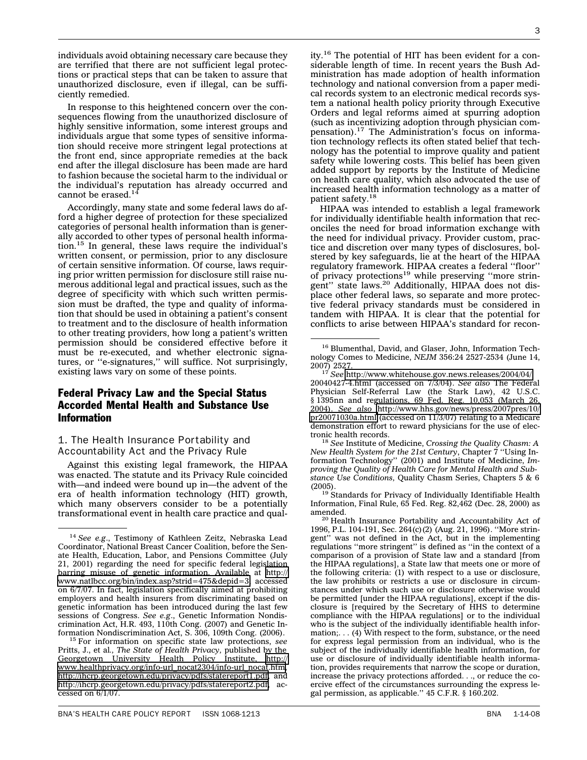individuals avoid obtaining necessary care because they are terrified that there are not sufficient legal protections or practical steps that can be taken to assure that unauthorized disclosure, even if illegal, can be sufficiently remedied.

In response to this heightened concern over the consequences flowing from the unauthorized disclosure of highly sensitive information, some interest groups and individuals argue that some types of sensitive information should receive more stringent legal protections at the front end, since appropriate remedies at the back end after the illegal disclosure has been made are hard to fashion because the societal harm to the individual or the individual's reputation has already occurred and cannot be erased.<sup>14</sup>

Accordingly, many state and some federal laws do afford a higher degree of protection for these specialized categories of personal health information than is generally accorded to other types of personal health information.15 In general, these laws require the individual's written consent, or permission, prior to any disclosure of certain sensitive information. Of course, laws requiring prior written permission for disclosure still raise numerous additional legal and practical issues, such as the degree of specificity with which such written permission must be drafted, the type and quality of information that should be used in obtaining a patient's consent to treatment and to the disclosure of health information to other treating providers, how long a patient's written permission should be considered effective before it must be re-executed, and whether electronic signatures, or ''e-signatures,'' will suffice. Not surprisingly, existing laws vary on some of these points.

## Federal Privacy Law and the Special Status Accorded Mental Health and Substance Use Information

## 1. The Health Insurance Portability and Accountability Act and the Privacy Rule

Against this existing legal framework, the HIPAA was enacted. The statute and its Privacy Rule coincided with—and indeed were bound up in—the advent of the era of health information technology (HIT) growth, which many observers consider to be a potentially transformational event in health care practice and qual-

ity.16 The potential of HIT has been evident for a considerable length of time. In recent years the Bush Administration has made adoption of health information technology and national conversion from a paper medical records system to an electronic medical records system a national health policy priority through Executive Orders and legal reforms aimed at spurring adoption (such as incentivizing adoption through physician compensation).<sup>17</sup> The Administration's focus on information technology reflects its often stated belief that technology has the potential to improve quality and patient safety while lowering costs. This belief has been given added support by reports by the Institute of Medicine on health care quality, which also advocated the use of increased health information technology as a matter of patient safety.18

HIPAA was intended to establish a legal framework for individually identifiable health information that reconciles the need for broad information exchange with the need for individual privacy. Provider custom, practice and discretion over many types of disclosures, bolstered by key safeguards, lie at the heart of the HIPAA regulatory framework. HIPAA creates a federal ''floor'' of privacy protections<sup>19</sup> while preserving "more stringent" state laws.<sup>20</sup> Additionally, HIPAA does not displace other federal laws, so separate and more protective federal privacy standards must be considered in tandem with HIPAA. It is clear that the potential for conflicts to arise between HIPAA's standard for recon-

tronic health records. <sup>18</sup> *See* Institute of Medicine, *Crossing the Quality Chasm: A New Health System for the 21st Century*, Chapter 7 ''Using Information Technology'' (2001) and Institute of Medicine, *Improving the Quality of Health Care for Mental Health and Substance Use Conditions,* Quality Chasm Series, Chapters 5 & 6

 $19$  Standards for Privacy of Individually Identifiable Health Information, Final Rule, 65 Fed. Reg. 82,462 (Dec. 28, 2000) as

<sup>14</sup> *See e.g*., Testimony of Kathleen Zeitz, Nebraska Lead Coordinator, National Breast Cancer Coalition, before the Senate Health, Education, Labor, and Pensions Committee (July 21, 2001) regarding the need for specific federal legislation barring misuse of genetic information. Available at [http://](http://www.natlbcc.org/bin/index.asp?strid=475&depid=3) [www.natlbcc.org/bin/index.asp?strid=475&depid=3,](http://www.natlbcc.org/bin/index.asp?strid=475&depid=3) accessed on 6/7/07. In fact, legislation specifically aimed at prohibiting employers and health insurers from discriminating based on genetic information has been introduced during the last few sessions of Congress. *See e.g*., Genetic Information Nondiscrimination Act, H.R. 493, 110th Cong. (2007) and Genetic In-

<sup>&</sup>lt;sup>15</sup> For information on specific state law protections, see Pritts, J., et al*., The State of Health Privacy,* published by the Georgetown University Health Policy Institute, [http://](http://www.healthprivacy.org/info-url_nocat2304/info-url_nocat.htm) [www.healthprivacy.org/info-url\\_nocat2304/info-url\\_nocat.htm,](http://www.healthprivacy.org/info-url_nocat2304/info-url_nocat.htm) [http://ihcrp.georgetown.edu/privacy/pdfs/statereport1.pdf,](http://ihcrp.georgetown.edu/privacy/pdfs/statereport1.pdf) and [http://ihcrp.georgetown.edu/privacy/pdfs/statereport2.pdf,](http://ihcrp.georgetown.edu/privacy/pdfs/statereport2.pdf) accessed on 6/1/07.

<sup>&</sup>lt;sup>16</sup> Blumenthal, David, and Glaser, John, Information Technology Comes to Medicine, *NEJM* 356:24 2527-2534 (June 14,

<sup>2007) 2527.</sup> <sup>17</sup> *See* <http://www.whitehouse.gov.news.releases/2004/04/> 20040427-4.html (accessed on 7/3/04). *See also* The Federal Physician Self-Referral Law (the Stark Law), 42 U.S.C. § 1395nn and regulations, 69 Fed. Reg. 10,053 (March 26, 2004). *See also* [http://www.hhs.gov/news/press/2007pres/10/](http://www.hhs.gov/news/press/2007pres/10/pr20071030a.html) [pr20071030a.html](http://www.hhs.gov/news/press/2007pres/10/pr20071030a.html) (accessed on 11/3/07) relating to a Medicare demonstration effort to reward physicians for the use of elec-

<sup>&</sup>lt;sup>20</sup> Health Insurance Portability and Accountability Act of 1996, P.L. 104-191, Sec. 264(c)(2) (Aug. 21, 1996). ''More stringent'' was not defined in the Act, but in the implementing regulations ''more stringent'' is defined as ''in the context of a comparison of a provision of State law and a standard [from the HIPAA regulations], a State law that meets one or more of the following criteria: (1) with respect to a use or disclosure, the law prohibits or restricts a use or disclosure in circumstances under which such use or disclosure otherwise would be permitted [under the HIPAA regulations], except if the disclosure is [required by the Secretary of HHS to determine compliance with the HIPAA regulations] or to the individual who is the subject of the individually identifiable health information;. . . (4) With respect to the form, substance, or the need for express legal permission from an individual, who is the subject of the individually identifiable health information, for use or disclosure of individually identifiable health information, provides requirements that narrow the scope or duration, increase the privacy protections afforded. . ., or reduce the coercive effect of the circumstances surrounding the express legal permission, as applicable.'' 45 C.F.R. § 160.202.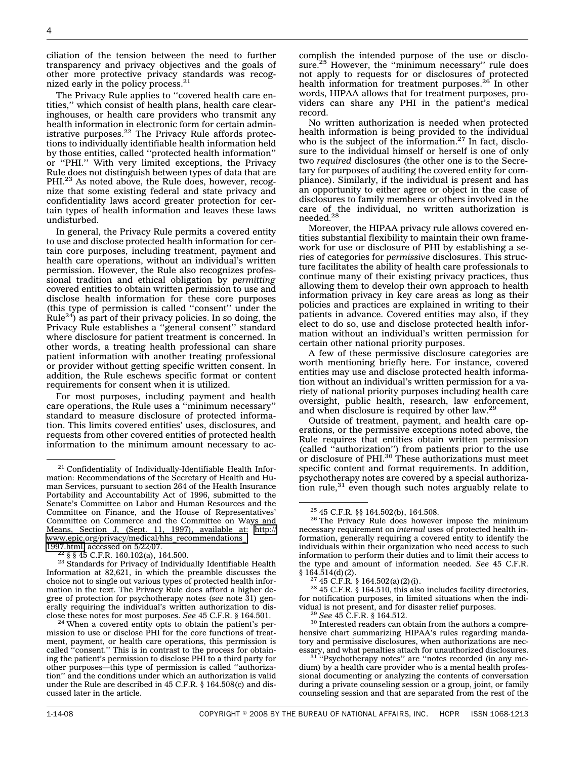ciliation of the tension between the need to further transparency and privacy objectives and the goals of other more protective privacy standards was recognized early in the policy process.<sup>21</sup>

The Privacy Rule applies to ''covered health care entities,'' which consist of health plans, health care clearinghouses, or health care providers who transmit any health information in electronic form for certain administrative purposes. $^{22}$  The Privacy Rule affords protections to individually identifiable health information held by those entities, called ''protected health information'' or ''PHI.'' With very limited exceptions, the Privacy Rule does not distinguish between types of data that are PHI.<sup>23</sup> As noted above, the Rule does, however, recognize that some existing federal and state privacy and confidentiality laws accord greater protection for certain types of health information and leaves these laws undisturbed.

In general, the Privacy Rule permits a covered entity to use and disclose protected health information for certain core purposes, including treatment, payment and health care operations, without an individual's written permission. However, the Rule also recognizes professional tradition and ethical obligation by *permitting* covered entities to obtain written permission to use and disclose health information for these core purposes (this type of permission is called ''consent'' under the Rule<sup>24</sup>) as part of their privacy policies. In so doing, the Privacy Rule establishes a ''general consent'' standard where disclosure for patient treatment is concerned. In other words, a treating health professional can share patient information with another treating professional or provider without getting specific written consent. In addition, the Rule eschews specific format or content requirements for consent when it is utilized.

For most purposes, including payment and health care operations, the Rule uses a ''minimum necessary'' standard to measure disclosure of protected information. This limits covered entities' uses, disclosures, and requests from other covered entities of protected health information to the minimum amount necessary to ac-

complish the intended purpose of the use or disclosure.<sup>25</sup> However, the "minimum necessary" rule does not apply to requests for or disclosures of protected health information for treatment purposes.<sup>26</sup> In other words, HIPAA allows that for treatment purposes, providers can share any PHI in the patient's medical record.

No written authorization is needed when protected health information is being provided to the individual who is the subject of the information.<sup>27</sup> In fact, disclosure to the individual himself or herself is one of only two *required* disclosures (the other one is to the Secretary for purposes of auditing the covered entity for compliance). Similarly, if the individual is present and has an opportunity to either agree or object in the case of disclosures to family members or others involved in the care of the individual, no written authorization is needed.28

Moreover, the HIPAA privacy rule allows covered entities substantial flexibility to maintain their own framework for use or disclosure of PHI by establishing a series of categories for *permissive* disclosures. This structure facilitates the ability of health care professionals to continue many of their existing privacy practices, thus allowing them to develop their own approach to health information privacy in key care areas as long as their policies and practices are explained in writing to their patients in advance. Covered entities may also, if they elect to do so, use and disclose protected health information without an individual's written permission for certain other national priority purposes.

A few of these permissive disclosure categories are worth mentioning briefly here. For instance, covered entities may use and disclose protected health information without an individual's written permission for a variety of national priority purposes including health care oversight, public health, research, law enforcement, and when disclosure is required by other law.29

Outside of treatment, payment, and health care operations, or the permissive exceptions noted above, the Rule requires that entities obtain written permission (called "authorization") from patients prior to the use or disclosure of  $PHI<sup>30</sup>$  These authorizations must meet specific content and format requirements. In addition, psychotherapy notes are covered by a special authorization rule, $31$  even though such notes arguably relate to

<sup>&</sup>lt;sup>21</sup> Confidentiality of Individually-Identifiable Health Information: Recommendations of the Secretary of Health and Human Services, pursuant to section 264 of the Health Insurance Portability and Accountability Act of 1996, submitted to the Senate's Committee on Labor and Human Resources and the Committee on Finance, and the House of Representatives' Committee on Commerce and the Committee on Ways and Means, Section J, (Sept. 11, 1997), available at: [http://](http://www.epic.org/privacy/medical/hhs_recommendations_1997.html) [www.epic.org/privacy/medical/hhs\\_recommendations\\_](http://www.epic.org/privacy/medical/hhs_recommendations_1997.html)<br>1997.html, accessed on 5/22/07.

 $^{22}$  § § 45 C.F.R. 160.102(a), 164.500.<br><sup>23</sup> Standards for Privacy of Individually Identifiable Health Information at 82,621, in which the preamble discusses the choice not to single out various types of protected health information in the text. The Privacy Rule does afford a higher degree of protection for psychotherapy notes (*see* note 31) generally requiring the individual's written authorization to dis-<br>close these notes for most purposes. See  $45$  C.F.R.  $\S$  164.501.

<sup>&</sup>lt;sup>24</sup> When a covered entity opts to obtain the patient's permission to use or disclose PHI for the core functions of treatment, payment, or health care operations, this permission is called ''consent.'' This is in contrast to the process for obtaining the patient's permission to disclose PHI to a third party for other purposes—this type of permission is called ''authorization'' and the conditions under which an authorization is valid under the Rule are described in 45 C.F.R. § 164.508(c) and discussed later in the article.

<sup>&</sup>lt;sup>25</sup> 45 C.F.R. §§ 164.502(b), 164.508.<br><sup>26</sup> The Privacy Rule does however impose the minimum necessary requirement on *internal* uses of protected health information, generally requiring a covered entity to identify the individuals within their organization who need access to such information to perform their duties and to limit their access to the type and amount of information needed. *See* 45 C.F.R.

 $$164.514(d)(2).$ <br><sup>27</sup> 45 C.F.R.  $$164.502(a)(2)(i).$ 

 $28$  45 C.F.R. § 164.510, this also includes facility directories, for notification purposes, in limited situations when the individual is not present, and for disaster relief purposes. <sup>29</sup> *See* 45 C.F.R. § 164.512. <sup>30</sup> Interested readers can obtain from the authors a compre-

hensive chart summarizing HIPAA's rules regarding mandatory and permissive disclosures, when authorizations are necessary, and what penalties attach for unauthorized disclosures.

<sup>&</sup>lt;sup>31 "</sup>Psychotherapy notes" are "notes recorded (in any medium) by a health care provider who is a mental health professional documenting or analyzing the contents of conversation during a private counseling session or a group, joint, or family counseling session and that are separated from the rest of the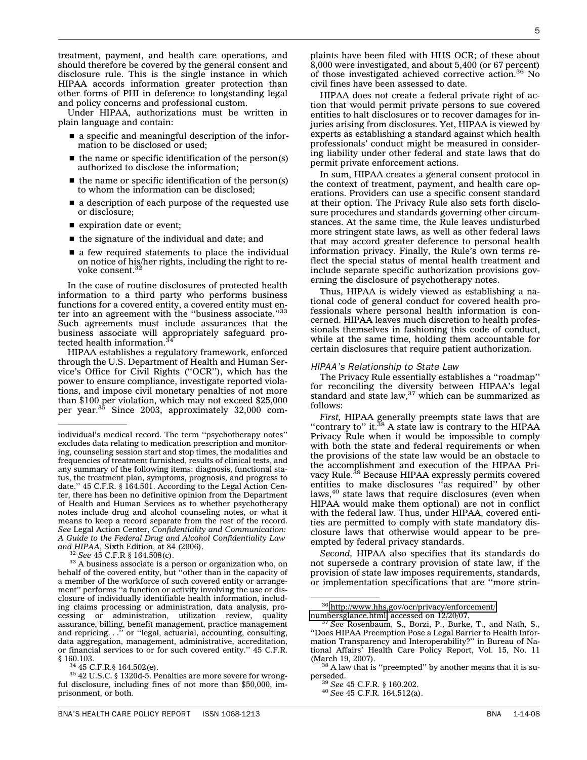treatment, payment, and health care operations, and should therefore be covered by the general consent and disclosure rule. This is the single instance in which HIPAA accords information greater protection than other forms of PHI in deference to longstanding legal and policy concerns and professional custom.

Under HIPAA, authorizations must be written in plain language and contain:

- a specific and meaningful description of the information to be disclosed or used;
- $\blacksquare$  the name or specific identification of the person(s) authorized to disclose the information;
- $\blacksquare$  the name or specific identification of the person(s) to whom the information can be disclosed;
- a description of each purpose of the requested use or disclosure;
- **s** expiration date or event;
- $\blacksquare$  the signature of the individual and date; and
- a few required statements to place the individual on notice of his/her rights, including the right to revoke consent.<sup>3</sup>

In the case of routine disclosures of protected health information to a third party who performs business functions for a covered entity, a covered entity must enter into an agreement with the "business associate."<sup>33</sup> Such agreements must include assurances that the business associate will appropriately safeguard protected health information.<sup>34</sup>

HIPAA establishes a regulatory framework, enforced through the U.S. Department of Health and Human Service's Office for Civil Rights (''OCR''), which has the power to ensure compliance, investigate reported violations, and impose civil monetary penalties of not more than \$100 per violation, which may not exceed \$25,000<br>per year.<sup>35</sup> Since 2003, approximately 32,000 com-

plaints have been filed with HHS OCR; of these about 8,000 were investigated, and about 5,400 (or 67 percent) of those investigated achieved corrective action.<sup>36</sup> No civil fines have been assessed to date.

IPAA does not create a federal private right of action that would permit private persons to sue covered entities to halt disclosures or to recover damages for injuries arising from disclosures. Yet, HIPAA is viewed by experts as establishing a standard against which health professionals' conduct might be measured in considering liability under other federal and state laws that do permit private enforcement actions.

In sum, HIPAA creates a general consent protocol in the context of treatment, payment, and health care operations. Providers can use a specific consent standard at their option. The Privacy Rule also sets forth disclosure procedures and standards governing other circumstances. At the same time, the Rule leaves undisturbed more stringent state laws, as well as other federal laws that may accord greater deference to personal health information privacy. Finally, the Rule's own terms reflect the special status of mental health treatment and include separate specific authorization provisions governing the disclosure of psychotherapy notes.

Thus, HIPAA is widely viewed as establishing a national code of general conduct for covered health professionals where personal health information is concerned. HIPAA leaves much discretion to health professionals themselves in fashioning this code of conduct, while at the same time, holding them accountable for certain disclosures that require patient authorization.

#### *HIPAA's Relationship to State Law*

The Privacy Rule essentially establishes a ''roadmap'' for reconciling the diversity between HIPAA's legal standard and state law, $37$  which can be summarized as follows:

*First,* HIPAA generally preempts state laws that are "contrary to" it.<sup>38</sup> A state law is contrary to the HIPAA Privacy Rule when it would be impossible to comply with both the state and federal requirements or when the provisions of the state law would be an obstacle to the accomplishment and execution of the HIPAA Privacy Rule.<sup>39</sup> Because HIPAA expressly permits covered entities to make disclosures ''as required'' by other laws,<sup>40</sup> state laws that require disclosures (even when HIPAA would make them optional) are not in conflict with the federal law. Thus, under HIPAA, covered entities are permitted to comply with state mandatory disclosure laws that otherwise would appear to be preempted by federal privacy standards.

*Second,* HIPAA also specifies that its standards do not supersede a contrary provision of state law, if the provision of state law imposes requirements, standards, or implementation specifications that are ''more strin-

individual's medical record. The term ''psychotherapy notes'' excludes data relating to medication prescription and monitoring, counseling session start and stop times, the modalities and frequencies of treatment furnished, results of clinical tests, and any summary of the following items: diagnosis, functional status, the treatment plan, symptoms, prognosis, and progress to date.'' 45 C.F.R. § 164.501. According to the Legal Action Center, there has been no definitive opinion from the Department of Health and Human Services as to whether psychotherapy notes include drug and alcohol counseling notes, or what it means to keep a record separate from the rest of the record. *See* Legal Action Center, *Confidentiality and Communication: A Guide to the Federal Drug and Alcohol Confidentiality Law*

*and HIPAA*, Sixth Edition, at 84 (2006). <sup>32</sup> *See* 45 C.F.R § 164.508(c). <sup>33</sup> A business associate is a person or organization who, on behalf of the covered entity, but ''other than in the capacity of a member of the workforce of such covered entity or arrangement" performs "a function or activity involving the use or disclosure of individually identifiable health information, including claims processing or administration, data analysis, processing or administration, utilization review, quality assurance, billing, benefit management, practice management and repricing. . .'' or ''legal, actuarial, accounting, consulting, data aggregation, management, administrative, accreditation, or financial services to or for such covered entity.'' 45 C.F.R.  $$160.103.$ <br> $$^{34}$  45 C.F.R.  $$164.502(e).$ 

 $35$  42 U.S.C. § 1320d-5. Penalties are more severe for wrongful disclosure, including fines of not more than \$50,000, imprisonment, or both.

 $36$  [http://www.hhs.gov/ocr/privacy/enforcement/](http://www.hhs.gov/ocr/privacy/enforcement/numbersglance.html)<br>numbersglance.html, accessed on 12/20/07.

<sup>&</sup>lt;sup>37</sup> See Rosenbaum, S., Borzi, P., Burke, T., and Nath, S., ''Does HIPAA Preemption Pose a Legal Barrier to Health Information Transparency and Interoperability?'' in Bureau of National Affairs' Health Care Policy Report, Vol. 15, No. 11

 $38$  A law that is "preempted" by another means that it is superseded. <sup>39</sup> *See* 45 C.F.R. § 160.202. <sup>40</sup> *See* 45 C.F.R. 164.512(a).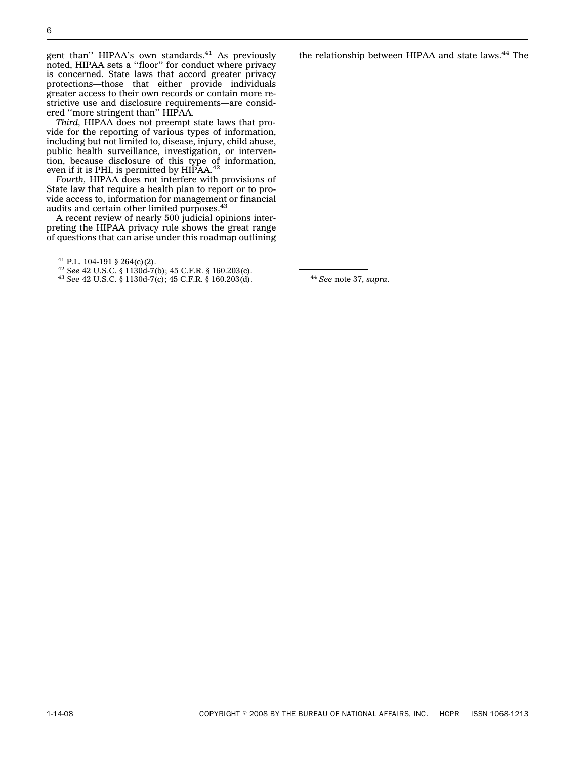gent than" HIPAA's own standards.<sup>41</sup> As previously noted, HIPAA sets a ''floor'' for conduct where privacy is concerned. State laws that accord greater privacy protections—those that either provide individuals greater access to their own records or contain more restrictive use and disclosure requirements—are considered ''more stringent than'' HIPAA.

*Third,* HIPAA does not preempt state laws that provide for the reporting of various types of information, including but not limited to, disease, injury, child abuse, public health surveillance, investigation, or intervention, because disclosure of this type of information, even if it is PHI, is permitted by HIPAA.<sup>42</sup>

*Fourth,* HIPAA does not interfere with provisions of State law that require a health plan to report or to provide access to, information for management or financial audits and certain other limited purposes.<sup>43</sup>

A recent review of nearly 500 judicial opinions interpreting the HIPAA privacy rule shows the great range of questions that can arise under this roadmap outlining the relationship between HIPAA and state laws.<sup>44</sup> The

<sup>41</sup> P.L. 104-191 § 264(c)(2). <sup>42</sup> *See* 42 U.S.C. § 1130d-7(b); 45 C.F.R. § 160.203(c). <sup>43</sup> *See* 42 U.S.C. § 1130d-7(c); 45 C.F.R. § 160.203(d). <sup>44</sup> *See* note 37, *supra*.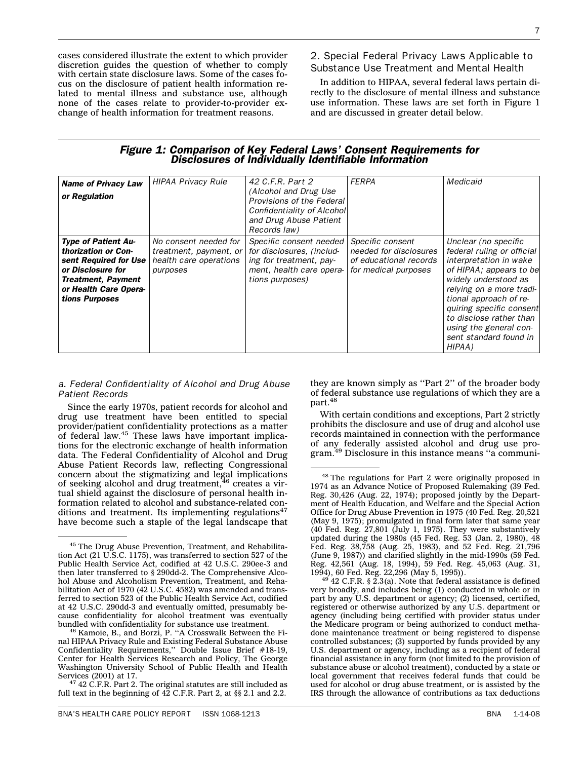cases considered illustrate the extent to which provider discretion guides the question of whether to comply with certain state disclosure laws. Some of the cases focus on the disclosure of patient health information related to mental illness and substance use, although none of the cases relate to provider-to-provider exchange of health information for treatment reasons.

2. Special Federal Privacy Laws Applicable to Substance Use Treatment and Mental Health

In addition to HIPAA, several federal laws pertain directly to the disclosure of mental illness and substance use information. These laws are set forth in Figure 1 and are discussed in greater detail below.

# *Figure 1: Comparison of Key Federal Laws' Consent Requirements for Disclosures of Individually Identifiable Information*

| <b>Name of Privacy Law</b><br>or Regulation                                                                                                                             | <b>HIPAA Privacy Rule</b>                                                             | 42 C.F.R. Part 2<br>(Alcohol and Drug Use)<br>Provisions of the Federal<br>Confidentiality of Alcohol<br>and Drug Abuse Patient<br>Records law) | <b>FERPA</b>                                                                                 | Medicaid                                                                                                                                                                                                                                                                                                   |
|-------------------------------------------------------------------------------------------------------------------------------------------------------------------------|---------------------------------------------------------------------------------------|-------------------------------------------------------------------------------------------------------------------------------------------------|----------------------------------------------------------------------------------------------|------------------------------------------------------------------------------------------------------------------------------------------------------------------------------------------------------------------------------------------------------------------------------------------------------------|
| <b>Type of Patient Au-</b><br>thorization or Con-<br>sent Required for Use<br>or Disclosure for<br><b>Treatment, Payment</b><br>or Health Care Opera-<br>tions Purposes | No consent needed for<br>treatment, payment, or<br>health care operations<br>purposes | Specific consent needed<br>for disclosures, (includ-<br>ing for treatment, pay-<br>ment, health care opera-<br>tions purposes)                  | Specific consent<br>needed for disclosures<br>of educational records<br>for medical purposes | Unclear (no specific<br>federal ruling or official<br>interpretation in wake<br>of HIPAA; appears to be<br>widely understood as<br>relying on a more tradi-<br>tional approach of re-<br>quiring specific consent<br>to disclose rather than<br>using the general con-<br>sent standard found in<br>HIPAA) |

#### *a. Federal Confidentiality of Alcohol and Drug Abuse Patient Records*

Since the early 1970s, patient records for alcohol and drug use treatment have been entitled to special provider/patient confidentiality protections as a matter of federal law.<sup>45</sup> These laws have important implications for the electronic exchange of health information data. The Federal Confidentiality of Alcohol and Drug Abuse Patient Records law, reflecting Congressional concern about the stigmatizing and legal implications<br>of seeking alcohol and drug treatment,<sup>46</sup> creates a virtual shield against the disclosure of personal health information related to alcohol and substance-related conditions and treatment. Its implementing regulations<sup>47</sup> have become such a staple of the legal landscape that they are known simply as ''Part 2'' of the broader body of federal substance use regulations of which they are a part.48

With certain conditions and exceptions, Part 2 strictly prohibits the disclosure and use of drug and alcohol use records maintained in connection with the performance of any federally assisted alcohol and drug use program.49 Disclosure in this instance means ''a communi-

 $^{49}$  42 C.F.R. § 2.3(a). Note that federal assistance is defined very broadly, and includes being (1) conducted in whole or in part by any U.S. department or agency; (2) licensed, certified, registered or otherwise authorized by any U.S. department or agency (including being certified with provider status under the Medicare program or being authorized to conduct methadone maintenance treatment or being registered to dispense controlled substances; (3) supported by funds provided by any U.S. department or agency, including as a recipient of federal financial assistance in any form (not limited to the provision of substance abuse or alcohol treatment), conducted by a state or local government that receives federal funds that could be used for alcohol or drug abuse treatment, or is assisted by the IRS through the allowance of contributions as tax deductions

<sup>45</sup> The Drug Abuse Prevention, Treatment, and Rehabilitation Act (21 U.S.C. 1175), was transferred to section 527 of the Public Health Service Act, codified at 42 U.S.C. 290ee-3 and then later transferred to § 290dd-2. The Comprehensive Alcohol Abuse and Alcoholism Prevention, Treatment, and Rehabilitation Act of 1970 (42 U.S.C. 4582) was amended and transferred to section 523 of the Public Health Service Act, codified at 42 U.S.C. 290dd-3 and eventually omitted, presumably because confidentiality for alcohol treatment was eventually bundled with confidentiality for substance use treatment.

<sup>&</sup>lt;sup>46</sup> Kamoie, B., and Borzi, P. "A Crosswalk Between the Final HIPAA Privacy Rule and Existing Federal Substance Abuse Confidentiality Requirements,'' Double Issue Brief #18-19, Center for Health Services Research and Policy, The George Washington University School of Public Health and Health

 $47$  42 C.F.R. Part 2. The original statutes are still included as full text in the beginning of 42 C.F.R. Part 2, at §§ 2.1 and 2.2.

<sup>48</sup> The regulations for Part 2 were originally proposed in 1974 as an Advance Notice of Proposed Rulemaking (39 Fed. Reg. 30,426 (Aug. 22, 1974); proposed jointly by the Department of Health Education, and Welfare and the Special Action Office for Drug Abuse Prevention in 1975 (40 Fed. Reg. 20,521 (May 9, 1975); promulgated in final form later that same year (40 Fed. Reg. 27,801 (July 1, 1975). They were substantively updated during the 1980s (45 Fed. Reg. 53 (Jan. 2, 1980), 48 Fed. Reg. 38,758 (Aug. 25, 1983), and 52 Fed. Reg. 21,796 (June 9, 1987)) and clarified slightly in the mid-1990s (59 Fed. Reg. 42,561 (Aug. 18, 1994), 59 Fed. Reg. 45,063 (Aug. 31,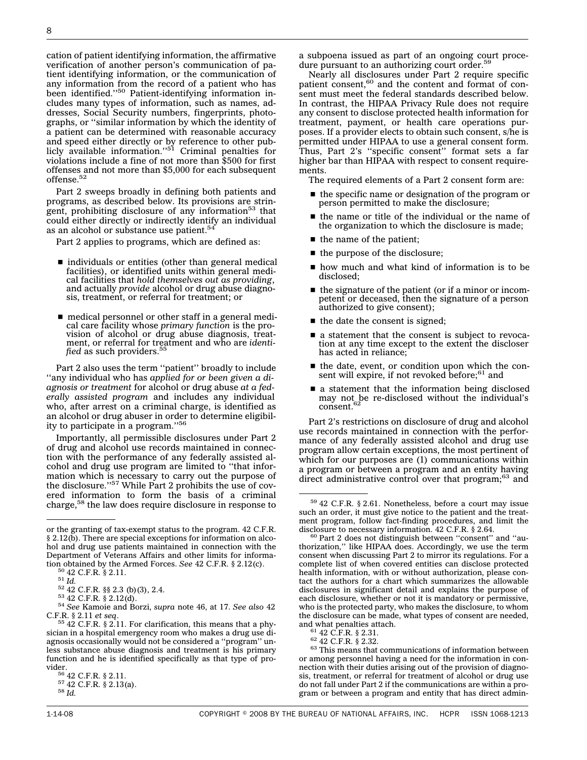cation of patient identifying information, the affirmative verification of another person's communication of patient identifying information, or the communication of any information from the record of a patient who has been identified."<sup>50</sup> Patient-identifying information includes many types of information, such as names, addresses, Social Security numbers, fingerprints, photographs, or ''similar information by which the identity of a patient can be determined with reasonable accuracy and speed either directly or by reference to other pub-<br>licly available information.''<sup>51</sup> Criminal penalties for violations include a fine of not more than \$500 for first offenses and not more than \$5,000 for each subsequent offense.<sup>52</sup>

Part 2 sweeps broadly in defining both patients and programs, as described below. Its provisions are stringent, prohibiting disclosure of any information<sup>53</sup> that could either directly or indirectly identify an individual as an alcohol or substance use patient.<sup>54</sup>

Part 2 applies to programs, which are defined as:

- $\blacksquare$  individuals or entities (other than general medical facilities), or identified units within general medical facilities that *hold themselves out as providing*, and actually *provide* alcohol or drug abuse diagnosis, treatment, or referral for treatment; or
- nedical personnel or other staff in a general medical care facility whose *primary function* is the provision of alcohol or drug abuse diagnosis, treatment, or referral for treatment and who are *identified* as such providers.<sup>55</sup>

Part 2 also uses the term ''patient'' broadly to include ''any individual who has *applied for or been given a diagnosis or treatment* for alcohol or drug abuse *at a federally assisted program* and includes any individual who, after arrest on a criminal charge, is identified as an alcohol or drug abuser in order to determine eligibility to participate in a program.''56

Importantly, all permissible disclosures under Part 2 of drug and alcohol use records maintained in connection with the performance of any federally assisted alcohol and drug use program are limited to ''that information which is necessary to carry out the purpose of the disclosure."<sup>57</sup> While Part 2 prohibits the use of covered information to form the basis of a criminal charge,58 the law does require disclosure in response to

<sup>50</sup> 42 C.F.R. § 2.11.<br><sup>51</sup> Id.<br><sup>52</sup> 42 C.F.R. §§ 2.3 (b)(3), 2.4.<br><sup>53</sup> 42 C.F.R. § 2.12(d).<br><sup>54</sup> See Kamoie and Borzi, supra note 46, at 17. See also 42<br>C.F.R. § 2.11 *et seq.* 

Nearly all disclosures under Part 2 require specific patient consent,<sup>60</sup> and the content and format of consent must meet the federal standards described below. In contrast, the HIPAA Privacy Rule does not require any consent to disclose protected health information for treatment, payment, or health care operations purposes. If a provider elects to obtain such consent, s/he is permitted under HIPAA to use a general consent form. Thus, Part 2's ''specific consent'' format sets a far higher bar than HIPAA with respect to consent requirements.

The required elements of a Part 2 consent form are:

- $\blacksquare$  the specific name or designation of the program or person permitted to make the disclosure;
- the name or title of the individual or the name of the organization to which the disclosure is made;
- $\blacksquare$  the name of the patient;
- sthe purpose of the disclosure;
- $\blacksquare$  how much and what kind of information is to be disclosed;
- $\blacksquare$  the signature of the patient (or if a minor or incompetent or deceased, then the signature of a person authorized to give consent);
- $\blacksquare$  the date the consent is signed;
- s a statement that the consent is subject to revocation at any time except to the extent the discloser has acted in reliance;
- the date, event, or condition upon which the consent will expire, if not revoked before;<sup>61</sup> and
- a statement that the information being disclosed may not be re-disclosed without the individual's consent.<sup>62</sup>

Part 2's restrictions on disclosure of drug and alcohol use records maintained in connection with the performance of any federally assisted alcohol and drug use program allow certain exceptions, the most pertinent of which for our purposes are (1) communications within a program or between a program and an entity having direct administrative control over that program;<sup>63</sup> and

or the granting of tax-exempt status to the program. 42 C.F.R. § 2.12(b). There are special exceptions for information on alcohol and drug use patients maintained in connection with the Department of Veterans Affairs and other limits for informa-<br>tion obtained by the Armed Forces. See 42 C.F.R. § 2.12(c).

<sup>&</sup>lt;sup>55</sup> 42 C.F.R. § 2.11. For clarification, this means that a physician in a hospital emergency room who makes a drug use diagnosis occasionally would not be considered a ''program'' unless substance abuse diagnosis and treatment is his primary function and he is identified specifically as that type of provider.<br>
<sup>56</sup> 42 C.F.R. § 2.11.<br>
<sup>57</sup> 42 C.F.R. § 2.13(a).<br>
<sup>58</sup> *Id.* 

a subpoena issued as part of an ongoing court procedure pursuant to an authorizing court order.<sup>59</sup>

<sup>59</sup> 42 C.F.R. § 2.61. Nonetheless, before a court may issue such an order, it must give notice to the patient and the treatment program, follow fact-finding procedures, and limit the disclosure to necessary information. 42 C.F.R. § 2.64. disclosure to necessary information. 42 C.F.R. § 2.64.<br><sup>60</sup> Part 2 does not distinguish between "consent" and "au-

thorization,'' like HIPAA does. Accordingly, we use the term consent when discussing Part 2 to mirror its regulations. For a complete list of when covered entities can disclose protected health information, with or without authorization, please contact the authors for a chart which summarizes the allowable disclosures in significant detail and explains the purpose of each disclosure, whether or not it is mandatory or permissive, who is the protected party, who makes the disclosure, to whom the disclosure can be made, what types of consent are needed,

and what penalties attach.<br>
<sup>61</sup> 42 C.F.R. § 2.31.<br>
<sup>62</sup> 42 C.F.R. § 2.32.<br>
<sup>63</sup> This means that communications of information between or among personnel having a need for the information in connection with their duties arising out of the provision of diagnosis, treatment, or referral for treatment of alcohol or drug use do not fall under Part 2 if the communications are within a program or between a program and entity that has direct admin-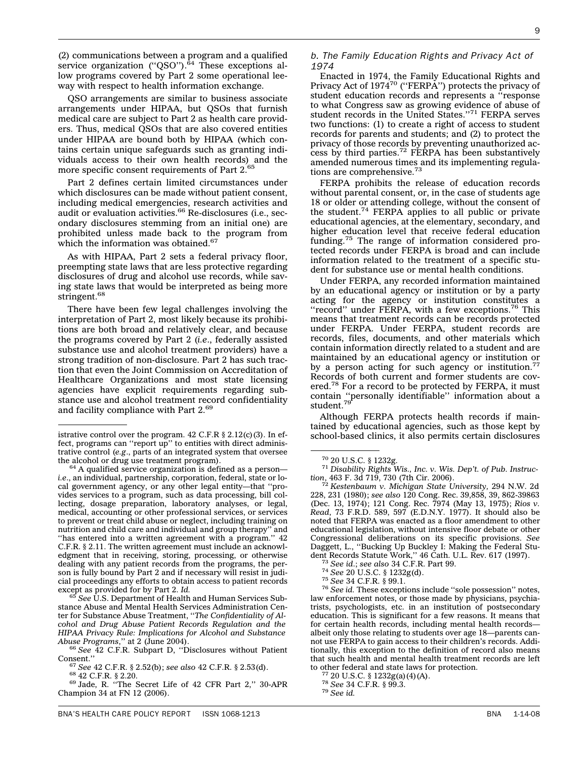BNA'S HEALTH CARE POLICY REPORT ISSN 1068-1213 CHARGE IN A STREAM ASSEMBLY A STREAM A 1-14-08

(2) communications between a program and a qualified service organization ("QSO"). $^{64}$  These exceptions allow programs covered by Part 2 some operational leeway with respect to health information exchange.

QSO arrangements are similar to business associate arrangements under HIPAA, but QSOs that furnish medical care are subject to Part 2 as health care providers. Thus, medical QSOs that are also covered entities under HIPAA are bound both by HIPAA (which contains certain unique safeguards such as granting individuals access to their own health records) and the more specific consent requirements of Part 2.<sup>65</sup>

Part 2 defines certain limited circumstances under which disclosures can be made without patient consent, including medical emergencies, research activities and audit or evaluation activities.<sup>66</sup> Re-disclosures (i.e., secondary disclosures stemming from an initial one) are prohibited unless made back to the program from which the information was obtained.<sup>67</sup>

As with HIPAA, Part 2 sets a federal privacy floor, preempting state laws that are less protective regarding disclosures of drug and alcohol use records, while saving state laws that would be interpreted as being more stringent.<sup>68</sup>

There have been few legal challenges involving the interpretation of Part 2, most likely because its prohibitions are both broad and relatively clear, and because the programs covered by Part 2 (*i.e*., federally assisted substance use and alcohol treatment providers) have a strong tradition of non-disclosure. Part 2 has such traction that even the Joint Commission on Accreditation of Healthcare Organizations and most state licensing agencies have explicit requirements regarding substance use and alcohol treatment record confidentiality and facility compliance with Part 2.<sup>69</sup>

#### *b. The Family Education Rights and Privacy Act of 1974*

Enacted in 1974, the Family Educational Rights and Privacy Act of 1974<sup>70</sup> ("FERPA") protects the privacy of student education records and represents a ''response to what Congress saw as growing evidence of abuse of student records in the United States."<sup>71</sup> FERPA serves two functions: (1) to create a right of access to student records for parents and students; and (2) to protect the privacy of those records by preventing unauthorized access by third parties.<sup>72</sup> FERPA has been substantively amended numerous times and its implementing regulations are comprehensive.<sup>73</sup>

FERPA prohibits the release of education records without parental consent, or, in the case of students age 18 or older or attending college, without the consent of the student.<sup>74</sup> FERPA applies to all public or private educational agencies, at the elementary, secondary, and higher education level that receive federal education funding.<sup>75</sup> The range of information considered protected records under FERPA is broad and can include information related to the treatment of a specific student for substance use or mental health conditions.

Under FERPA, any recorded information maintained by an educational agency or institution or by a party acting for the agency or institution constitutes a "record" under FERPA, with a few exceptions.<sup>76</sup> This means that treatment records can be records protected under FERPA. Under FERPA, student records are records, files, documents, and other materials which contain information directly related to a student and are maintained by an educational agency or institution or by a person acting for such agency or institution.<sup>77</sup> Records of both current and former students are covered.<sup>78</sup> For a record to be protected by FERPA, it must contain ''personally identifiable'' information about a<br>student.<sup>79</sup>

Although FERPA protects health records if maintained by educational agencies, such as those kept by

<sup>72</sup> *Kestenbaum v. Michigan State University,* 294 N.W. 2d 228, 231 (1980); *see also* 120 Cong. Rec. 39,858, 39, 862-39863 (Dec. 13, 1974); 121 Cong. Rec. 7974 (May 13, 1975); *Rios v. Read*, 73 F.R.D. 589, 597 (E.D.N.Y. 1977). It should also be noted that FERPA was enacted as a floor amendment to other educational legislation, without intensive floor debate or other Congressional deliberations on its specific provisions. *See* Daggett, L., ''Bucking Up Buckley I: Making the Federal Stu-

- 
- 

<sup>73</sup> See id.; see also 34 C.F.R. Part 99.<br><sup>74</sup> See 20 U.S.C. § 1232g(d).<br><sup>75</sup> See 34 C.F.R. § 99.1.<br><sup>76</sup> See id. These exceptions include "sole possession" notes, law enforcement notes, or those made by physicians, psychiatrists, psychologists, etc. in an institution of postsecondary education. This is significant for a few reasons. It means that for certain health records, including mental health records albeit only those relating to students over age 18—parents cannot use FERPA to gain access to their children's records. Additionally, this exception to the definition of record also means that such health and mental health treatment records are left to other federal and state laws for protection.<br><sup>77</sup> 20 U.S.C. § 1232g(a)(4)(A).<br><sup>78</sup> *See* 34 C.F.R. § 99.3.<br><sup>79</sup> *See id.* 

istrative control over the program. 42 C.F.R § 2.12(c)(3). In ef-<br>fect, programs can "report up" to entities with direct administrative control (*e.g.*, parts of an integrated system that oversee the alcohol or drug use treatment program).

 $64$  A qualified service organization is defined as a person*i.e*., an individual, partnership, corporation, federal, state or local government agency, or any other legal entity—that ''provides services to a program, such as data processing, bill collecting, dosage preparation, laboratory analyses, or legal, medical, accounting or other professional services, or services to prevent or treat child abuse or neglect, including training on nutrition and child care and individual and group therapy'' and nutrition and child care and individual and group therapy' "has entered into a written agreement with a program." 42 C.F.R. § 2.11. The written agreement must include an acknowledgment that in receiving, storing, processing, or otherwise dealing with any patient records from the programs, the person is fully bound by Part 2 and if necessary will resist in judicial proceedings any efforts to obtain access to patient records

See U.S. Department of Health and Human Services Substance Abuse and Mental Health Services Administration Center for Substance Abuse Treatment, ''*The Confidentiality of Alcohol and Drug Abuse Patient Records Regulation and the HIPAA Privacy Rule: Implications for Alcohol and Substance*

<sup>&</sup>lt;sup>66</sup> See  $\overline{4}2$  C.F.R. Subpart D, "Disclosures without Patient Consent."

<sup>&</sup>lt;sup>67</sup> *See* 42 C.F.R. § 2.52(b); *see also* 42 C.F.R. § 2.53(d).<br><sup>68</sup> 42 C.F.R. § 2.20. <sup>69</sup> Jade, R. ''The Secret Life of 42 CFR Part 2,'' 30-APR

Champion 34 at FN 12 (2006).

<sup>70</sup> 20 U.S.C. § 1232g. <sup>71</sup> *Disability Rights Wis., Inc. v. Wis. Dep't. of Pub. Instruction*, 463 F. 3d 719, 730 (7th Cir. 2006).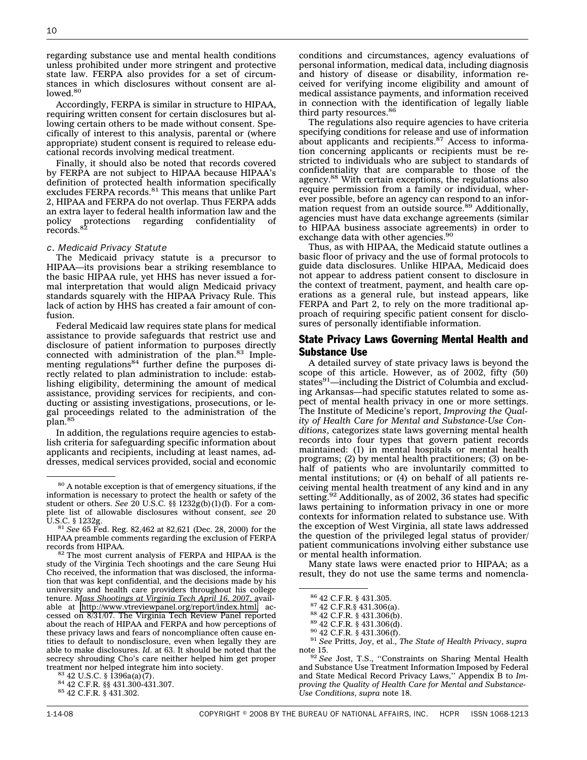regarding substance use and mental health conditions unless prohibited under more stringent and protective state law. FERPA also provides for a set of circumstances in which disclosures without consent are al- $\rm low$ ed. $\rm ^{80}$ 

Accordingly, FERPA is similar in structure to HIPAA, requiring written consent for certain disclosures but allowing certain others to be made without consent. Specifically of interest to this analysis, parental or (where appropriate) student consent is required to release educational records involving medical treatment.

Finally, it should also be noted that records covered by FERPA are not subject to HIPAA because HIPAA's definition of protected health information specifically excludes FERPA records.<sup>81</sup> This means that unlike Part 2, HIPAA and FERPA do not overlap. Thus FERPA adds an extra layer to federal health information law and the policy protections regarding confidentiality of<br>records.<sup>82</sup>

#### *c. Medicaid Privacy Statute*

The Medicaid privacy statute is a precursor to HIPAA—its provisions bear a striking resemblance to the basic HIPAA rule, yet HHS has never issued a formal interpretation that would align Medicaid privacy standards squarely with the HIPAA Privacy Rule. This lack of action by HHS has created a fair amount of confusion.

Federal Medicaid law requires state plans for medical assistance to provide safeguards that restrict use and disclosure of patient information to purposes directly connected with administration of the plan.<sup>83</sup> Implementing regulations<sup>84</sup> further define the purposes directly related to plan administration to include: establishing eligibility, determining the amount of medical assistance, providing services for recipients, and conducting or assisting investigations, prosecutions, or legal proceedings related to the administration of the plan.<sup>85</sup>

In addition, the regulations require agencies to establish criteria for safeguarding specific information about applicants and recipients, including at least names, addresses, medical services provided, social and economic

The regulations also require agencies to have criteria specifying conditions for release and use of information about applicants and recipients.87 Access to information concerning applicants or recipients must be restricted to individuals who are subject to standards of confidentiality that are comparable to those of the agency.88 With certain exceptions, the regulations also require permission from a family or individual, wherever possible, before an agency can respond to an information request from an outside source.<sup>89</sup> Additionally, agencies must have data exchange agreements (similar to HIPAA business associate agreements) in order to exchange data with other agencies.<sup>90</sup>

Thus, as with HIPAA, the Medicaid statute outlines a basic floor of privacy and the use of formal protocols to guide data disclosures. Unlike HIPAA, Medicaid does not appear to address patient consent to disclosure in the context of treatment, payment, and health care operations as a general rule, but instead appears, like FERPA and Part 2, to rely on the more traditional approach of requiring specific patient consent for disclosures of personally identifiable information.

## State Privacy Laws Governing Mental Health and Substance Use

A detailed survey of state privacy laws is beyond the scope of this article. However, as of 2002, fifty (50) states<sup>91</sup>—including the District of Columbia and excluding Arkansas—had specific statutes related to some aspect of mental health privacy in one or more settings. The Institute of Medicine's report, *Improving the Quality of Health Care for Mental and Substance-Use Conditions*, categorizes state laws governing mental health records into four types that govern patient records maintained: (1) in mental hospitals or mental health programs; (2) by mental health practitioners; (3) on behalf of patients who are involuntarily committed to mental institutions; or (4) on behalf of all patients receiving mental health treatment of any kind and in any setting.<sup>92</sup> Additionally, as of 2002, 36 states had specific laws pertaining to information privacy in one or more contexts for information related to substance use. With the exception of West Virginia, all state laws addressed the question of the privileged legal status of provider/ patient communications involving either substance use or mental health information.

Many state laws were enacted prior to HIPAA; as a result, they do not use the same terms and nomencla-

<sup>80</sup> A notable exception is that of emergency situations, if the information is necessary to protect the health or safety of the student or others. *See* 20 U.S.C. §§ 1232g(b)(1)(I). For a complete list of allowable disclosures without consent, *see* 20 U.S.C. § 1232g.<br><sup>81</sup> *See* 65 Fed. Reg. 82,462 at 82,621 (Dec. 28, 2000) for the

HIPAA preamble comments regarding the exclusion of FERPA

 $82$  The most current analysis of FERPA and HIPAA is the study of the Virginia Tech shootings and the care Seung Hui Cho received, the information that was disclosed, the information that was kept confidential, and the decisions made by his university and health care providers throughout his college tenure. *Mass Shootings at Virginia Tech April 16, 2007*, available at [http://www.vtreviewpanel.org/report/index.html,](http://www.vtreviewpanel.org/report/index.html) accessed on 8/31/07. The Virginia Tech Review Panel reported about the reach of HIPAA and FERPA and how perceptions of these privacy laws and fears of noncompliance often cause entities to default to nondisclosure, even when legally they are able to make disclosures. *Id*. at 63. It should be noted that the secrecy shrouding Cho's care neither helped him get proper treatment nor helped integrate him into society.<br><sup>83</sup> 42 U.S.C. § 1396a(a)(7).<br><sup>84</sup> 42 C.F.R. §§ 431.300-431.307.<br><sup>85</sup> 42 C.F.R. § 431.302.

<sup>86</sup> 42 C.F.R. § 431.305. <sup>87</sup> 42 C.F.R.§ 431.306(a). <sup>88</sup> 42 C.F.R. § 431.306(b). <sup>89</sup> 42 C.F.R. § 431.306(d). <sup>90</sup> 42 C.F.R. § 431.306(f). <sup>91</sup> *See* Pritts, Joy, et al., *The State of Health Privacy*, *supra* note 15. <sup>92</sup> *See* Jost, T.S., ''Constraints on Sharing Mental Health

and Substance Use Treatment Information Imposed by Federal and State Medical Record Privacy Laws,'' Appendix B to *Improving the Quality of Health Care for Mental and Substance-Use Conditions, supra* note 18.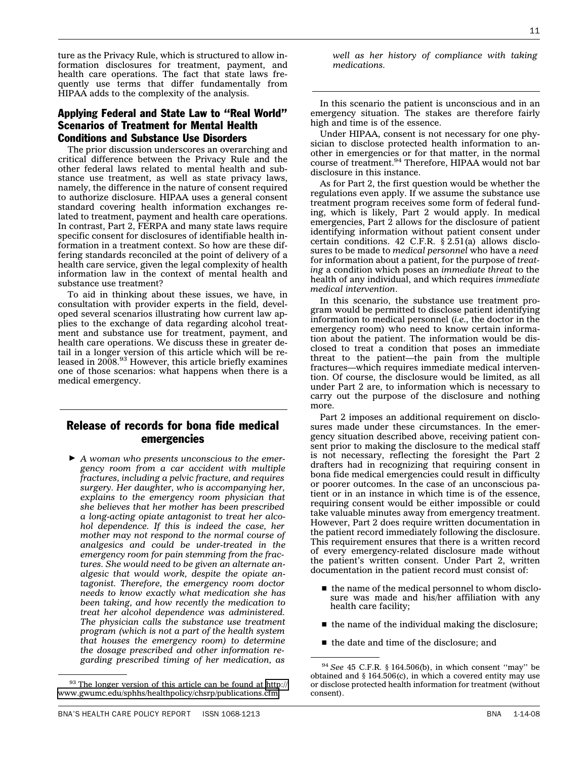ture as the Privacy Rule, which is structured to allow information disclosures for treatment, payment, and health care operations. The fact that state laws frequently use terms that differ fundamentally from HIPAA adds to the complexity of the analysis.

## Applying Federal and State Law to ''Real World'' Scenarios of Treatment for Mental Health Conditions and Substance Use Disorders

The prior discussion underscores an overarching and critical difference between the Privacy Rule and the other federal laws related to mental health and substance use treatment, as well as state privacy laws, namely, the difference in the nature of consent required to authorize disclosure. HIPAA uses a general consent standard covering health information exchanges related to treatment, payment and health care operations. In contrast, Part 2, FERPA and many state laws require specific consent for disclosures of identifiable health information in a treatment context. So how are these differing standards reconciled at the point of delivery of a health care service, given the legal complexity of health information law in the context of mental health and substance use treatment?

To aid in thinking about these issues, we have, in consultation with provider experts in the field, developed several scenarios illustrating how current law applies to the exchange of data regarding alcohol treatment and substance use for treatment, payment, and health care operations. We discuss these in greater detail in a longer version of this article which will be released in 2008.<sup>93</sup> However, this article briefly examines one of those scenarios: what happens when there is a medical emergency.

## Release of records for bona fide medical emergencies

- *A woman who presents unconscious to the emergency room from a car accident with multiple fractures, including a pelvic fracture, and requires surgery. Her daughter, who is accompanying her, explains to the emergency room physician that she believes that her mother has been prescribed a long-acting opiate antagonist to treat her alcohol dependence. If this is indeed the case, her mother may not respond to the normal course of analgesics and could be under-treated in the emergency room for pain stemming from the fractures. She would need to be given an alternate analgesic that would work, despite the opiate antagonist. Therefore, the emergency room doctor needs to know exactly what medication she has been taking, and how recently the medication to treat her alcohol dependence was administered. The physician calls the substance use treatment program (which is not a part of the health system that houses the emergency room) to determine the dosage prescribed and other information regarding prescribed timing of her medication, as*

*well as her history of compliance with taking medications.*

In this scenario the patient is unconscious and in an emergency situation. The stakes are therefore fairly high and time is of the essence.

Under HIPAA, consent is not necessary for one physician to disclose protected health information to another in emergencies or for that matter, in the normal course of treatment.<sup>94</sup> Therefore, HIPAA would not bar disclosure in this instance.

As for Part 2, the first question would be whether the regulations even apply. If we assume the substance use treatment program receives some form of federal funding, which is likely, Part 2 would apply. In medical emergencies, Part 2 allows for the disclosure of patient identifying information without patient consent under certain conditions. 42 C.F.R. § 2.51(a) allows disclosures to be made to *medical personnel* who have a *need* for information about a patient, for the purpose of *treating* a condition which poses an *immediate threat* to the health of any individual, and which requires *immediate medical intervention*.

In this scenario, the substance use treatment program would be permitted to disclose patient identifying information to medical personnel (*i.e.,* the doctor in the emergency room) who need to know certain information about the patient. The information would be disclosed to treat a condition that poses an immediate threat to the patient—the pain from the multiple fractures—which requires immediate medical intervention. Of course, the disclosure would be limited, as all under Part 2 are, to information which is necessary to carry out the purpose of the disclosure and nothing more.

Part 2 imposes an additional requirement on disclosures made under these circumstances. In the emergency situation described above, receiving patient consent prior to making the disclosure to the medical staff is not necessary, reflecting the foresight the Part 2 drafters had in recognizing that requiring consent in bona fide medical emergencies could result in difficulty or poorer outcomes. In the case of an unconscious patient or in an instance in which time is of the essence, requiring consent would be either impossible or could take valuable minutes away from emergency treatment. However, Part 2 does require written documentation in the patient record immediately following the disclosure. This requirement ensures that there is a written record of every emergency-related disclosure made without the patient's written consent. Under Part 2, written documentation in the patient record must consist of:

- $\blacksquare$  the name of the medical personnel to whom disclosure was made and his/her affiliation with any health care facility;
- $\blacksquare$  the name of the individual making the disclosure;
- the date and time of the disclosure; and

 $93$  The longer version of this article can be found at [http://](http://www.gwumc.edu/sphhs/healthpolicy/chsrp/publications.cfm) [www.gwumc.edu/sphhs/healthpolicy/chsrp/publications.cfm.](http://www.gwumc.edu/sphhs/healthpolicy/chsrp/publications.cfm)

<sup>94</sup> *See* 45 C.F.R. § 164.506(b), in which consent ''may'' be obtained and § 164.506(c), in which a covered entity may use or disclose protected health information for treatment (without consent).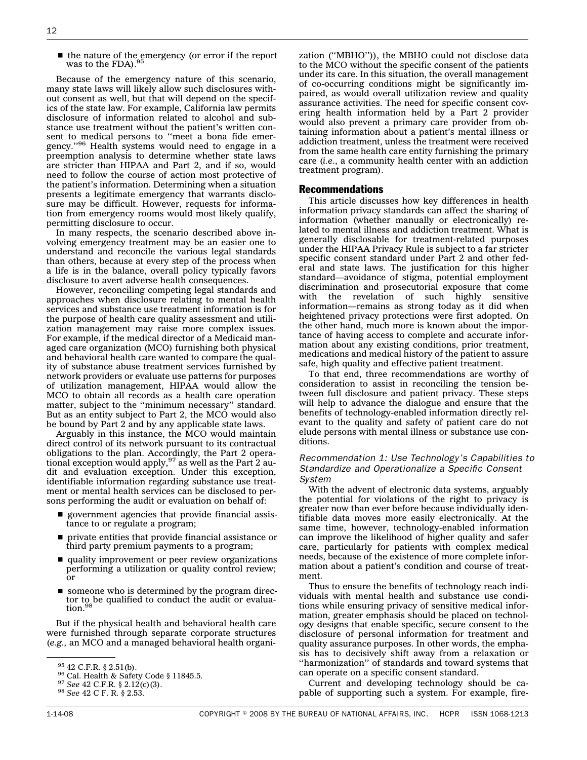$\blacksquare$  the nature of the emergency (or error if the report was to the FDA).<sup>95</sup>

Because of the emergency nature of this scenario, many state laws will likely allow such disclosures without consent as well, but that will depend on the specifics of the state law. For example, California law permits disclosure of information related to alcohol and substance use treatment without the patient's written consent to medical persons to ''meet a bona fide emergency.''96 Health systems would need to engage in a preemption analysis to determine whether state laws are stricter than HIPAA and Part 2, and if so, would need to follow the course of action most protective of the patient's information. Determining when a situation presents a legitimate emergency that warrants disclosure may be difficult. However, requests for information from emergency rooms would most likely qualify, permitting disclosure to occur.

In many respects, the scenario described above involving emergency treatment may be an easier one to understand and reconcile the various legal standards than others, because at every step of the process when a life is in the balance, overall policy typically favors disclosure to avert adverse health consequences.

However, reconciling competing legal standards and approaches when disclosure relating to mental health services and substance use treatment information is for the purpose of health care quality assessment and utilization management may raise more complex issues. For example, if the medical director of a Medicaid managed care organization (MCO) furnishing both physical and behavioral health care wanted to compare the quality of substance abuse treatment services furnished by network providers or evaluate use patterns for purposes of utilization management, HIPAA would allow the MCO to obtain all records as a health care operation matter, subject to the ''minimum necessary'' standard. But as an entity subject to Part 2, the MCO would also be bound by Part 2 and by any applicable state laws.

Arguably in this instance, the MCO would maintain direct control of its network pursuant to its contractual obligations to the plan. Accordingly, the Part 2 operational exception would apply,  $97$  as well as the Part 2 audit and evaluation exception. Under this exception, identifiable information regarding substance use treatment or mental health services can be disclosed to persons performing the audit or evaluation on behalf of:

- government agencies that provide financial assistance to or regulate a program;
- s private entities that provide financial assistance or third party premium payments to a program;
- quality improvement or peer review organizations performing a utilization or quality control review; or
- someone who is determined by the program director to be qualified to conduct the audit or evalua-<br>tion.<sup>98</sup>

But if the physical health and behavioral health care were furnished through separate corporate structures (*e.g.,* an MCO and a managed behavioral health organi-

zation (''MBHO'')), the MBHO could not disclose data to the MCO without the specific consent of the patients under its care. In this situation, the overall management of co-occurring conditions might be significantly impaired, as would overall utilization review and quality assurance activities. The need for specific consent covering health information held by a Part 2 provider would also prevent a primary care provider from obtaining information about a patient's mental illness or addiction treatment, unless the treatment were received from the same health care entity furnishing the primary care (*i.e*., a community health center with an addiction treatment program).

#### Recommendations

This article discusses how key differences in health information privacy standards can affect the sharing of information (whether manually or electronically) related to mental illness and addiction treatment. What is generally disclosable for treatment-related purposes under the HIPAA Privacy Rule is subject to a far stricter specific consent standard under Part 2 and other federal and state laws. The justification for this higher standard—avoidance of stigma, potential employment discrimination and prosecutorial exposure that come with the revelation of such highly sensitive information—remains as strong today as it did when heightened privacy protections were first adopted. On the other hand, much more is known about the importance of having access to complete and accurate information about any existing conditions, prior treatment, medications and medical history of the patient to assure safe, high quality and effective patient treatment.

To that end, three recommendations are worthy of consideration to assist in reconciling the tension between full disclosure and patient privacy. These steps will help to advance the dialogue and ensure that the benefits of technology-enabled information directly relevant to the quality and safety of patient care do not elude persons with mental illness or substance use conditions.

#### *Recommendation 1: Use Technology's Capabilities to Standardize and Operationalize a Specific Consent System*

With the advent of electronic data systems, arguably the potential for violations of the right to privacy is greater now than ever before because individually identifiable data moves more easily electronically. At the same time, however, technology-enabled information can improve the likelihood of higher quality and safer care, particularly for patients with complex medical needs, because of the existence of more complete information about a patient's condition and course of treatment.

Thus to ensure the benefits of technology reach individuals with mental health and substance use conditions while ensuring privacy of sensitive medical information, greater emphasis should be placed on technology designs that enable specific, secure consent to the disclosure of personal information for treatment and quality assurance purposes. In other words, the emphasis has to decisively shift away from a relaxation or "harmonization" of standards and toward systems that can operate on a specific consent standard.

Current and developing technology should be capable of supporting such a system. For example, fire-

<sup>95</sup> 42 C.F.R. § 2.51(b). <sup>96</sup> Cal. Health & Safety Code § 11845.5. <sup>97</sup> *See* 42 C.F.R. § 2.12(c)(3). <sup>98</sup> *See* 42 C F. R. § 2.53.